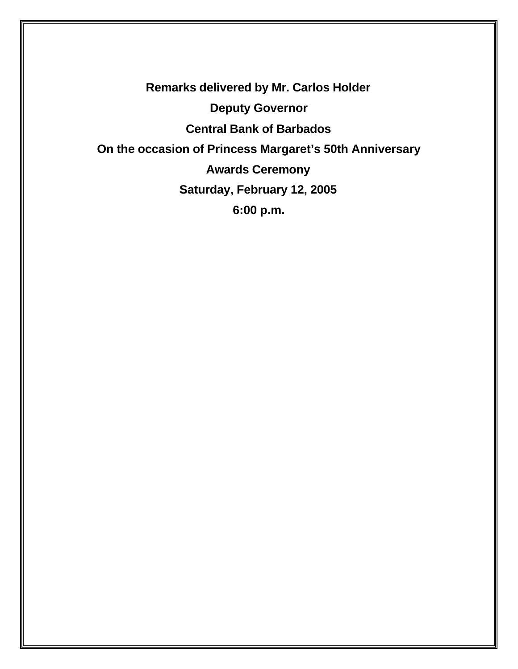**Remarks delivered by Mr. Carlos Holder Deputy Governor Central Bank of Barbados On the occasion of Princess Margaret's 50th Anniversary Awards Ceremony Saturday, February 12, 2005 6:00 p.m.**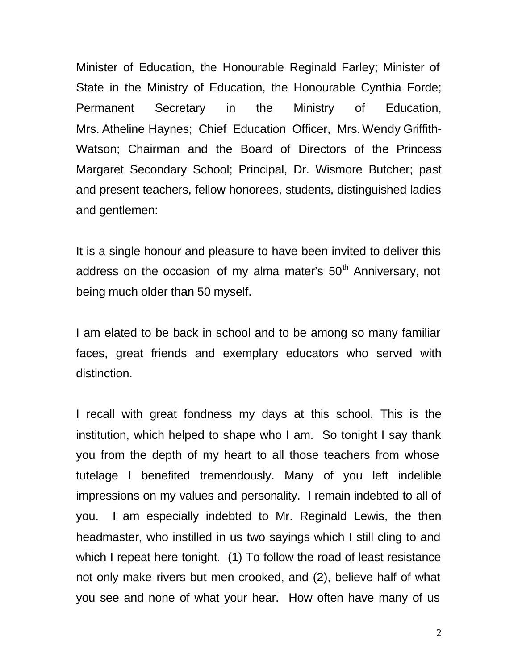Minister of Education, the Honourable Reginald Farley; Minister of State in the Ministry of Education, the Honourable Cynthia Forde; Permanent Secretary in the Ministry of Education, Mrs. Atheline Haynes; Chief Education Officer, Mrs.Wendy Griffith-Watson; Chairman and the Board of Directors of the Princess Margaret Secondary School; Principal, Dr. Wismore Butcher; past and present teachers, fellow honorees, students, distinguished ladies and gentlemen:

It is a single honour and pleasure to have been invited to deliver this address on the occasion of my alma mater's  $50<sup>th</sup>$  Anniversary, not being much older than 50 myself.

I am elated to be back in school and to be among so many familiar faces, great friends and exemplary educators who served with distinction.

I recall with great fondness my days at this school. This is the institution, which helped to shape who I am. So tonight I say thank you from the depth of my heart to all those teachers from whose tutelage I benefited tremendously. Many of you left indelible impressions on my values and personality. I remain indebted to all of you. I am especially indebted to Mr. Reginald Lewis, the then headmaster, who instilled in us two sayings which I still cling to and which I repeat here tonight. (1) To follow the road of least resistance not only make rivers but men crooked, and (2), believe half of what you see and none of what your hear. How often have many of us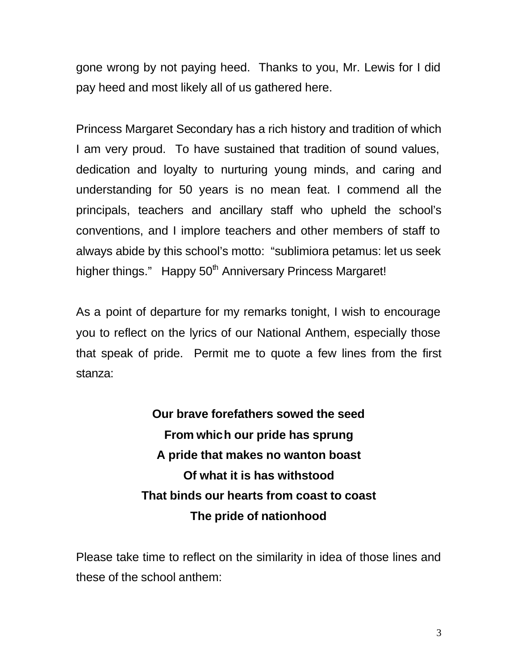gone wrong by not paying heed. Thanks to you, Mr. Lewis for I did pay heed and most likely all of us gathered here.

Princess Margaret Secondary has a rich history and tradition of which I am very proud. To have sustained that tradition of sound values, dedication and loyalty to nurturing young minds, and caring and understanding for 50 years is no mean feat. I commend all the principals, teachers and ancillary staff who upheld the school's conventions, and I implore teachers and other members of staff to always abide by this school's motto: "sublimiora petamus: let us seek higher things." Happy 50<sup>th</sup> Anniversary Princess Margaret!

As a point of departure for my remarks tonight, I wish to encourage you to reflect on the lyrics of our National Anthem, especially those that speak of pride. Permit me to quote a few lines from the first stanza:

> **Our brave forefathers sowed the seed From which our pride has sprung A pride that makes no wanton boast Of what it is has withstood That binds our hearts from coast to coast The pride of nationhood**

Please take time to reflect on the similarity in idea of those lines and these of the school anthem: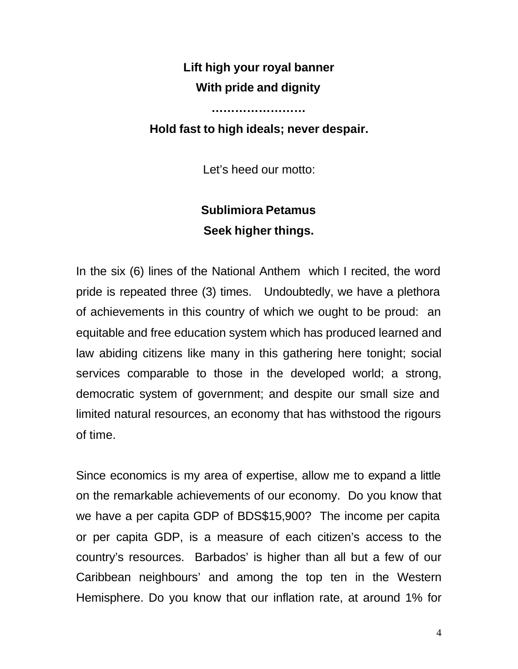## **Lift high your royal banner With pride and dignity**

## **Hold fast to high ideals; never despair.**

**……………………**

Let's heed our motto:

## **Sublimiora Petamus Seek higher things.**

In the six (6) lines of the National Anthem which I recited, the word pride is repeated three (3) times. Undoubtedly, we have a plethora of achievements in this country of which we ought to be proud: an equitable and free education system which has produced learned and law abiding citizens like many in this gathering here tonight; social services comparable to those in the developed world; a strong, democratic system of government; and despite our small size and limited natural resources, an economy that has withstood the rigours of time.

Since economics is my area of expertise, allow me to expand a little on the remarkable achievements of our economy. Do you know that we have a per capita GDP of BDS\$15,900? The income per capita or per capita GDP, is a measure of each citizen's access to the country's resources. Barbados' is higher than all but a few of our Caribbean neighbours' and among the top ten in the Western Hemisphere. Do you know that our inflation rate, at around 1% for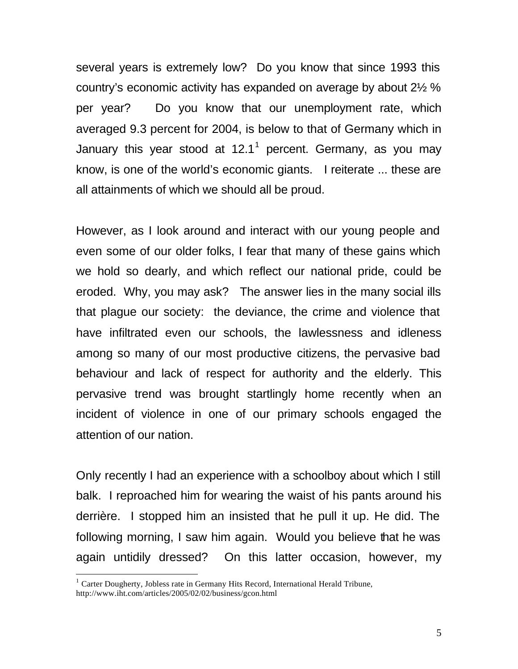several years is extremely low? Do you know that since 1993 this country's economic activity has expanded on average by about 2½ % per year? Do you know that our unemployment rate, which averaged 9.3 percent for 2004, is below to that of Germany which in January this year stood at 12.1<sup>1</sup> percent. Germany, as you may know, is one of the world's economic giants. I reiterate ... these are all attainments of which we should all be proud.

However, as I look around and interact with our young people and even some of our older folks, I fear that many of these gains which we hold so dearly, and which reflect our national pride, could be eroded. Why, you may ask? The answer lies in the many social ills that plague our society: the deviance, the crime and violence that have infiltrated even our schools, the lawlessness and idleness among so many of our most productive citizens, the pervasive bad behaviour and lack of respect for authority and the elderly. This pervasive trend was brought startlingly home recently when an incident of violence in one of our primary schools engaged the attention of our nation.

Only recently I had an experience with a schoolboy about which I still balk. I reproached him for wearing the waist of his pants around his derrière. I stopped him an insisted that he pull it up. He did. The following morning, I saw him again. Would you believe that he was again untidily dressed? On this latter occasion, however, my

 $\overline{a}$ 

<sup>&</sup>lt;sup>1</sup> Carter Dougherty, Jobless rate in Germany Hits Record, International Herald Tribune, http://www.iht.com/articles/2005/02/02/business/gcon.html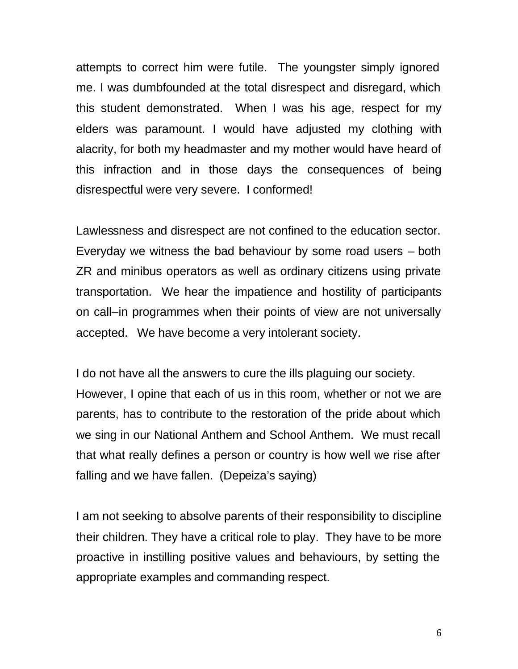attempts to correct him were futile. The youngster simply ignored me. I was dumbfounded at the total disrespect and disregard, which this student demonstrated. When I was his age, respect for my elders was paramount. I would have adjusted my clothing with alacrity, for both my headmaster and my mother would have heard of this infraction and in those days the consequences of being disrespectful were very severe. I conformed!

Lawlessness and disrespect are not confined to the education sector. Everyday we witness the bad behaviour by some road users – both ZR and minibus operators as well as ordinary citizens using private transportation. We hear the impatience and hostility of participants on call–in programmes when their points of view are not universally accepted. We have become a very intolerant society.

I do not have all the answers to cure the ills plaguing our society. However, I opine that each of us in this room, whether or not we are parents, has to contribute to the restoration of the pride about which we sing in our National Anthem and School Anthem. We must recall that what really defines a person or country is how well we rise after falling and we have fallen. (Depeiza's saying)

I am not seeking to absolve parents of their responsibility to discipline their children. They have a critical role to play. They have to be more proactive in instilling positive values and behaviours, by setting the appropriate examples and commanding respect.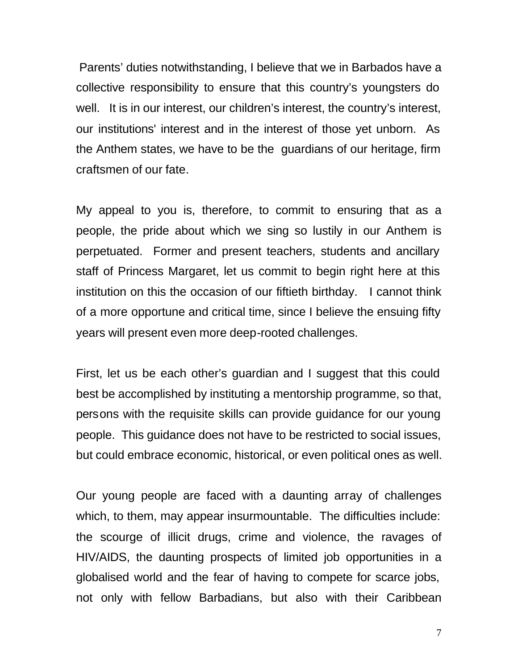Parents' duties notwithstanding, I believe that we in Barbados have a collective responsibility to ensure that this country's youngsters do well. It is in our interest, our children's interest, the country's interest, our institutions' interest and in the interest of those yet unborn. As the Anthem states, we have to be the guardians of our heritage, firm craftsmen of our fate.

My appeal to you is, therefore, to commit to ensuring that as a people, the pride about which we sing so lustily in our Anthem is perpetuated. Former and present teachers, students and ancillary staff of Princess Margaret, let us commit to begin right here at this institution on this the occasion of our fiftieth birthday. I cannot think of a more opportune and critical time, since I believe the ensuing fifty years will present even more deep-rooted challenges.

First, let us be each other's guardian and I suggest that this could best be accomplished by instituting a mentorship programme, so that, persons with the requisite skills can provide guidance for our young people. This guidance does not have to be restricted to social issues, but could embrace economic, historical, or even political ones as well.

Our young people are faced with a daunting array of challenges which, to them, may appear insurmountable. The difficulties include: the scourge of illicit drugs, crime and violence, the ravages of HIV/AIDS, the daunting prospects of limited job opportunities in a globalised world and the fear of having to compete for scarce jobs, not only with fellow Barbadians, but also with their Caribbean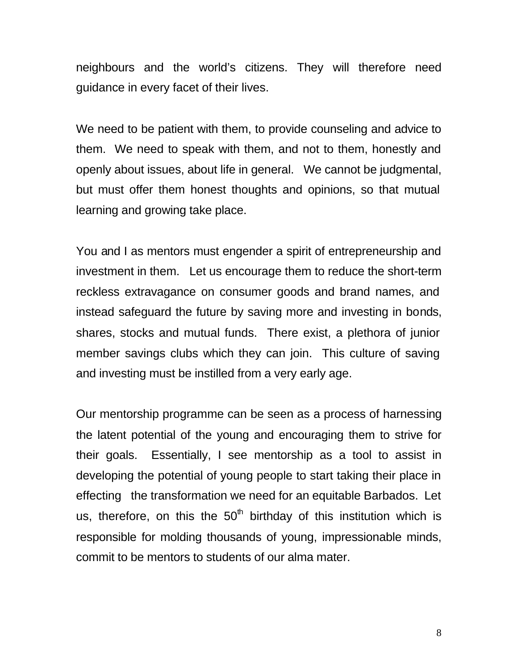neighbours and the world's citizens. They will therefore need guidance in every facet of their lives.

We need to be patient with them, to provide counseling and advice to them. We need to speak with them, and not to them, honestly and openly about issues, about life in general. We cannot be judgmental, but must offer them honest thoughts and opinions, so that mutual learning and growing take place.

You and I as mentors must engender a spirit of entrepreneurship and investment in them. Let us encourage them to reduce the short-term reckless extravagance on consumer goods and brand names, and instead safeguard the future by saving more and investing in bonds, shares, stocks and mutual funds. There exist, a plethora of junior member savings clubs which they can join. This culture of saving and investing must be instilled from a very early age.

Our mentorship programme can be seen as a process of harnessing the latent potential of the young and encouraging them to strive for their goals. Essentially, I see mentorship as a tool to assist in developing the potential of young people to start taking their place in effecting the transformation we need for an equitable Barbados. Let us, therefore, on this the  $50<sup>th</sup>$  birthday of this institution which is responsible for molding thousands of young, impressionable minds, commit to be mentors to students of our alma mater.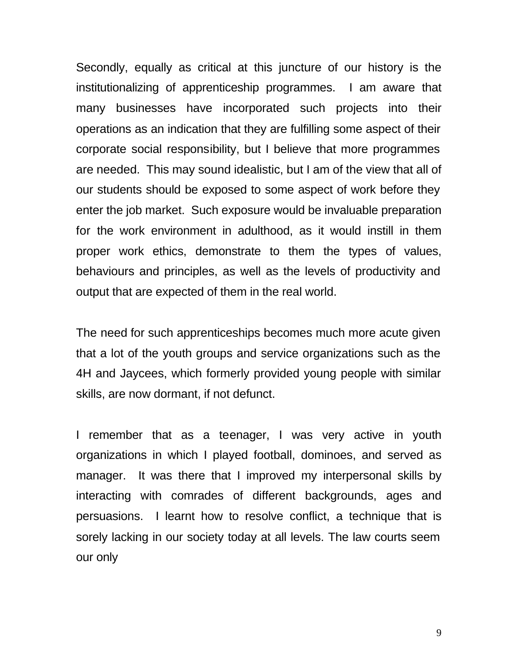Secondly, equally as critical at this juncture of our history is the institutionalizing of apprenticeship programmes. I am aware that many businesses have incorporated such projects into their operations as an indication that they are fulfilling some aspect of their corporate social responsibility, but I believe that more programmes are needed. This may sound idealistic, but I am of the view that all of our students should be exposed to some aspect of work before they enter the job market. Such exposure would be invaluable preparation for the work environment in adulthood, as it would instill in them proper work ethics, demonstrate to them the types of values, behaviours and principles, as well as the levels of productivity and output that are expected of them in the real world.

The need for such apprenticeships becomes much more acute given that a lot of the youth groups and service organizations such as the 4H and Jaycees, which formerly provided young people with similar skills, are now dormant, if not defunct.

I remember that as a teenager, I was very active in youth organizations in which I played football, dominoes, and served as manager. It was there that I improved my interpersonal skills by interacting with comrades of different backgrounds, ages and persuasions. I learnt how to resolve conflict, a technique that is sorely lacking in our society today at all levels. The law courts seem our only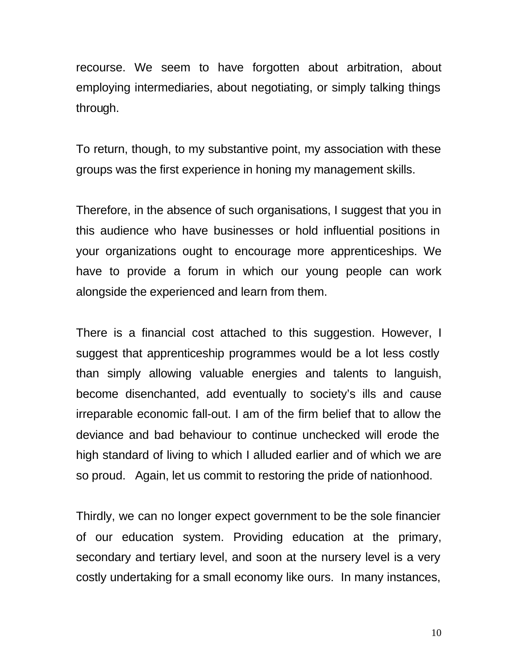recourse. We seem to have forgotten about arbitration, about employing intermediaries, about negotiating, or simply talking things through.

To return, though, to my substantive point, my association with these groups was the first experience in honing my management skills.

Therefore, in the absence of such organisations, I suggest that you in this audience who have businesses or hold influential positions in your organizations ought to encourage more apprenticeships. We have to provide a forum in which our young people can work alongside the experienced and learn from them.

There is a financial cost attached to this suggestion. However, I suggest that apprenticeship programmes would be a lot less costly than simply allowing valuable energies and talents to languish, become disenchanted, add eventually to society's ills and cause irreparable economic fall-out. I am of the firm belief that to allow the deviance and bad behaviour to continue unchecked will erode the high standard of living to which I alluded earlier and of which we are so proud. Again, let us commit to restoring the pride of nationhood.

Thirdly, we can no longer expect government to be the sole financier of our education system. Providing education at the primary, secondary and tertiary level, and soon at the nursery level is a very costly undertaking for a small economy like ours. In many instances,

10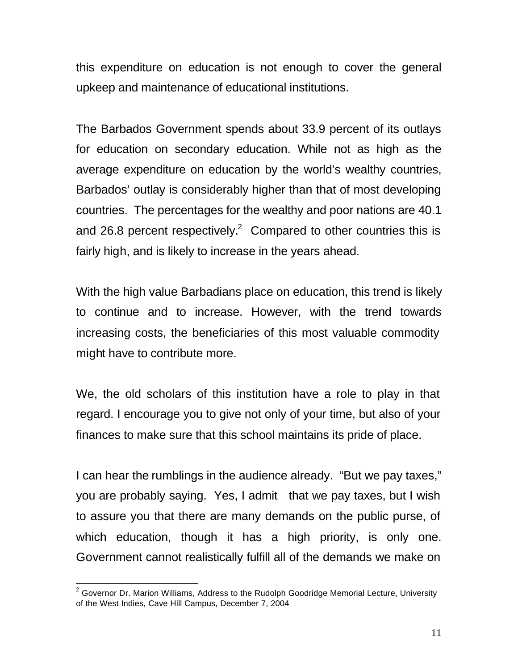this expenditure on education is not enough to cover the general upkeep and maintenance of educational institutions.

The Barbados Government spends about 33.9 percent of its outlays for education on secondary education. While not as high as the average expenditure on education by the world's wealthy countries, Barbados' outlay is considerably higher than that of most developing countries. The percentages for the wealthy and poor nations are 40.1 and 26.8 percent respectively.<sup>2</sup> Compared to other countries this is fairly high, and is likely to increase in the years ahead.

With the high value Barbadians place on education, this trend is likely to continue and to increase. However, with the trend towards increasing costs, the beneficiaries of this most valuable commodity might have to contribute more.

We, the old scholars of this institution have a role to play in that regard. I encourage you to give not only of your time, but also of your finances to make sure that this school maintains its pride of place.

I can hear the rumblings in the audience already. "But we pay taxes," you are probably saying. Yes, I admit that we pay taxes, but I wish to assure you that there are many demands on the public purse, of which education, though it has a high priority, is only one. Government cannot realistically fulfill all of the demands we make on

 $\overline{a}$  $2$  Governor Dr. Marion Williams, Address to the Rudolph Goodridge Memorial Lecture, University of the West Indies, Cave Hill Campus, December 7, 2004